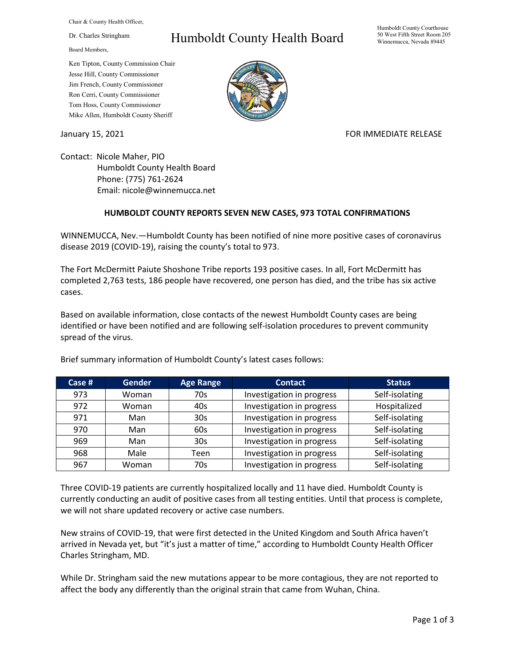Chair & County Health Officer,

Dr. Charles Stringham

Board Members,

## Ken Tipton, County Commission Chair Jesse Hill, County Commissioner Jim French, County Commissioner Ron Cerri, County Commissioner Tom Hoss, County Commissioner Mike Allen, Humboldt County Sheriff

## Humboldt County Health Board

Humboldt County Courthouse 50 West Fifth Street Room 205 Winnemucca, Nevada 89445



January 15, 2021 **FOR IMMEDIATE RELEASE** 

Contact: Nicole Maher, PIO Humboldt County Health Board Phone: (775) 761-2624 Email: nicole@winnemucca.net

## **HUMBOLDT COUNTY REPORTS SEVEN NEW CASES, 973 TOTAL CONFIRMATIONS**

WINNEMUCCA, Nev.—Humboldt County has been notified of nine more positive cases of coronavirus disease 2019 (COVID-19), raising the county's total to 973.

The Fort McDermitt Paiute Shoshone Tribe reports 193 positive cases. In all, Fort McDermitt has completed 2,763 tests, 186 people have recovered, one person has died, and the tribe has six active cases.

Based on available information, close contacts of the newest Humboldt County cases are being identified or have been notified and are following self-isolation procedures to prevent community spread of the virus.

| Case # | <b>Gender</b> | <b>Age Range</b> | <b>Contact</b>            | <b>Status</b>  |
|--------|---------------|------------------|---------------------------|----------------|
| 973    | Woman         | 70s              | Investigation in progress | Self-isolating |
| 972    | Woman         | 40s              | Investigation in progress | Hospitalized   |
| 971    | Man           | 30 <sub>s</sub>  | Investigation in progress | Self-isolating |
| 970    | Man           | 60s              | Investigation in progress | Self-isolating |
| 969    | Man           | 30 <sub>s</sub>  | Investigation in progress | Self-isolating |
| 968    | Male          | Teen             | Investigation in progress | Self-isolating |
| 967    | Woman         | 70s              | Investigation in progress | Self-isolating |

Brief summary information of Humboldt County's latest cases follows:

Three COVID-19 patients are currently hospitalized locally and 11 have died. Humboldt County is currently conducting an audit of positive cases from all testing entities. Until that process is complete, we will not share updated recovery or active case numbers.

New strains of COVID-19, that were first detected in the United Kingdom and South Africa haven't arrived in Nevada yet, but "it's just a matter of time," according to Humboldt County Health Officer Charles Stringham, MD.

While Dr. Stringham said the new mutations appear to be more contagious, they are not reported to affect the body any differently than the original strain that came from Wuhan, China.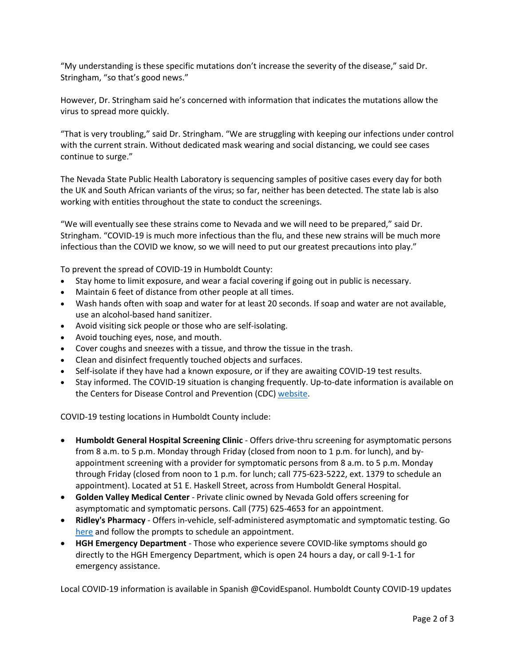"My understanding is these specific mutations don't increase the severity of the disease," said Dr. Stringham, "so that's good news."

However, Dr. Stringham said he's concerned with information that indicates the mutations allow the virus to spread more quickly.

"That is very troubling," said Dr. Stringham. "We are struggling with keeping our infections under control with the current strain. Without dedicated mask wearing and social distancing, we could see cases continue to surge."

The Nevada State Public Health Laboratory is sequencing samples of positive cases every day for both the UK and South African variants of the virus; so far, neither has been detected. The state lab is also working with entities throughout the state to conduct the screenings.

"We will eventually see these strains come to Nevada and we will need to be prepared," said Dr. Stringham. "COVID-19 is much more infectious than the flu, and these new strains will be much more infectious than the COVID we know, so we will need to put our greatest precautions into play."

To prevent the spread of COVID-19 in Humboldt County:

- Stay home to limit exposure, and wear a facial covering if going out in public is necessary.
- Maintain 6 feet of distance from other people at all times.
- Wash hands often with soap and water for at least 20 seconds. If soap and water are not available, use an alcohol-based hand sanitizer.
- Avoid visiting sick people or those who are self-isolating.
- Avoid touching eyes, nose, and mouth.
- Cover coughs and sneezes with a tissue, and throw the tissue in the trash.
- Clean and disinfect frequently touched objects and surfaces.
- Self-isolate if they have had a known exposure, or if they are awaiting COVID-19 test results.
- Stay informed. The COVID-19 situation is changing frequently. Up-to-date information is available on the Centers for Disease Control and Prevention (CDC) [website.](http://www.cdc.gov/coronavirus/2019-ncov/index.html)

COVID-19 testing locations in Humboldt County include:

- **Humboldt General Hospital Screening Clinic** Offers drive-thru screening for asymptomatic persons from 8 a.m. to 5 p.m. Monday through Friday (closed from noon to 1 p.m. for lunch), and byappointment screening with a provider for symptomatic persons from 8 a.m. to 5 p.m. Monday through Friday (closed from noon to 1 p.m. for lunch; call 775-623-5222, ext. 1379 to schedule an appointment). Located at 51 E. Haskell Street, across from Humboldt General Hospital.
- **Golden Valley Medical Center** Private clinic owned by Nevada Gold offers screening for asymptomatic and symptomatic persons. Call (775) 625-4653 for an appointment.
- **Ridley's Pharmacy** Offers in-vehicle, self-administered asymptomatic and symptomatic testing. Go [here](https://www.doineedacovid19test.com/Winnemucca_NV_1098.html) and follow the prompts to schedule an appointment.
- **HGH Emergency Department**  Those who experience severe COVID-like symptoms should go directly to the HGH Emergency Department, which is open 24 hours a day, or call 9-1-1 for emergency assistance.

Local COVID-19 information is available in Spanish @CovidEspanol. Humboldt County COVID-19 updates